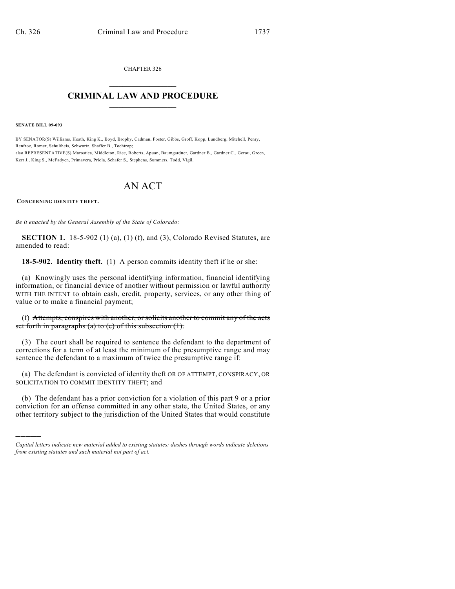CHAPTER 326

## $\mathcal{L}_\text{max}$  . The set of the set of the set of the set of the set of the set of the set of the set of the set of the set of the set of the set of the set of the set of the set of the set of the set of the set of the set **CRIMINAL LAW AND PROCEDURE**  $\_$

**SENATE BILL 09-093**

)))))

BY SENATOR(S) Williams, Heath, King K., Boyd, Brophy, Cadman, Foster, Gibbs, Groff, Kopp, Lundberg, Mitchell, Penry, Renfroe, Romer, Schultheis, Schwartz, Shaffer B., Tochtrop; also REPRESENTATIVE(S) Marostica, Middleton, Rice, Roberts, Apuan, Baumgardner, Gardner B., Gardner C., Gerou, Green, Kerr J., King S., McFadyen, Primavera, Priola, Schafer S., Stephens, Summers, Todd, Vigil.

## AN ACT

**CONCERNING IDENTITY THEFT.**

*Be it enacted by the General Assembly of the State of Colorado:*

**SECTION 1.** 18-5-902 (1) (a), (1) (f), and (3), Colorado Revised Statutes, are amended to read:

**18-5-902. Identity theft.** (1) A person commits identity theft if he or she:

(a) Knowingly uses the personal identifying information, financial identifying information, or financial device of another without permission or lawful authority WITH THE INTENT to obtain cash, credit, property, services, or any other thing of value or to make a financial payment;

(f) Attempts, conspires with another, or solicits another to commit any of the acts set forth in paragraphs (a) to (e) of this subsection  $(1)$ .

(3) The court shall be required to sentence the defendant to the department of corrections for a term of at least the minimum of the presumptive range and may sentence the defendant to a maximum of twice the presumptive range if:

(a) The defendant is convicted of identity theft OR OF ATTEMPT, CONSPIRACY, OR SOLICITATION TO COMMIT IDENTITY THEFT; and

(b) The defendant has a prior conviction for a violation of this part 9 or a prior conviction for an offense committed in any other state, the United States, or any other territory subject to the jurisdiction of the United States that would constitute

*Capital letters indicate new material added to existing statutes; dashes through words indicate deletions from existing statutes and such material not part of act.*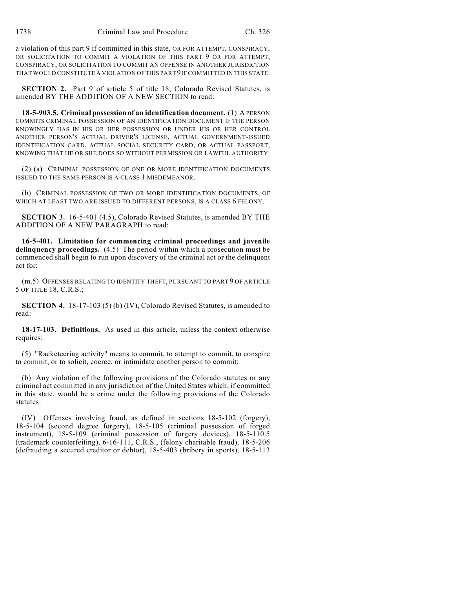a violation of this part 9 if committed in this state, OR FOR ATTEMPT, CONSPIRACY, OR SOLICITATION TO COMMIT A VIOLATION OF THIS PART 9 OR FOR ATTEMPT, CONSPIRACY, OR SOLICITATION TO COMMIT AN OFFENSE IN ANOTHER JURISDICTION THAT WOULD CONSTITUTE A VIOLATION OF THIS PART 9 IFCOMMITTED IN THIS STATE.

**SECTION 2.** Part 9 of article 5 of title 18, Colorado Revised Statutes, is amended BY THE ADDITION OF A NEW SECTION to read:

**18-5-903.5. Criminal possession of an identification document.** (1) A PERSON COMMITS CRIMINAL POSSESSION OF AN IDENTIFICATION DOCUMENT IF THE PERSON KNOWINGLY HAS IN HIS OR HER POSSESSION OR UNDER HIS OR HER CONTROL ANOTHER PERSON'S ACTUAL DRIVER'S LICENSE, ACTUAL GOVERNMENT-ISSUED IDENTIFICATION CARD, ACTUAL SOCIAL SECURITY CARD, OR ACTUAL PASSPORT, KNOWING THAT HE OR SHE DOES SO WITHOUT PERMISSION OR LAWFUL AUTHORITY.

(2) (a) CRIMINAL POSSESSION OF ONE OR MORE IDENTIFICATION DOCUMENTS ISSUED TO THE SAME PERSON IS A CLASS 1 MISDEMEANOR.

(b) CRIMINAL POSSESSION OF TWO OR MORE IDENTIFICATION DOCUMENTS, OF WHICH AT LEAST TWO ARE ISSUED TO DIFFERENT PERSONS, IS A CLASS 6 FELONY.

**SECTION 3.** 16-5-401 (4.5), Colorado Revised Statutes, is amended BY THE ADDITION OF A NEW PARAGRAPH to read:

**16-5-401. Limitation for commencing criminal proceedings and juvenile delinquency proceedings.** (4.5) The period within which a prosecution must be commenced shall begin to run upon discovery of the criminal act or the delinquent act for:

(m.5) OFFENSES RELATING TO IDENTITY THEFT, PURSUANT TO PART 9 OF ARTICLE 5 OF TITLE 18, C.R.S.;

**SECTION 4.** 18-17-103 (5) (b) (IV), Colorado Revised Statutes, is amended to read:

**18-17-103. Definitions.** As used in this article, unless the context otherwise requires:

(5) "Racketeering activity" means to commit, to attempt to commit, to conspire to commit, or to solicit, coerce, or intimidate another person to commit:

(b) Any violation of the following provisions of the Colorado statutes or any criminal act committed in any jurisdiction of the United States which, if committed in this state, would be a crime under the following provisions of the Colorado statutes:

(IV) Offenses involving fraud, as defined in sections 18-5-102 (forgery), 18-5-104 (second degree forgery), 18-5-105 (criminal possession of forged instrument), 18-5-109 (criminal possession of forgery devices), 18-5-110.5 (trademark counterfeiting), 6-16-111, C.R.S., (felony charitable fraud), 18-5-206 (defrauding a secured creditor or debtor), 18-5-403 (bribery in sports), 18-5-113